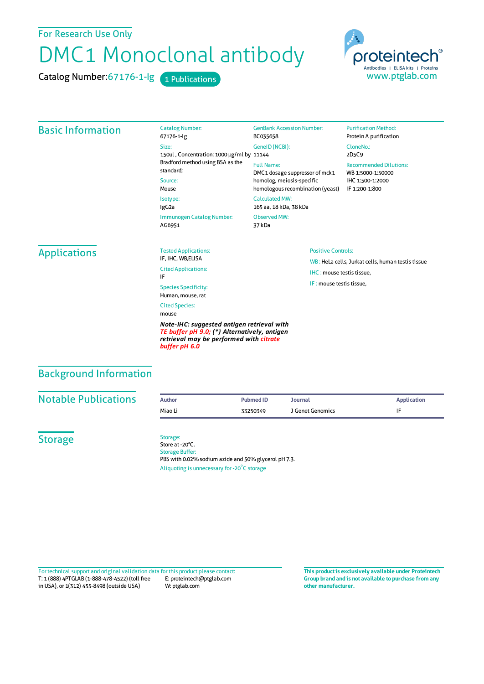### For Research Use Only

# DMC1 Monoclonal antibody

Catalog Number: 67176-1-lg 1 Publications



#### Basic Information Catalog Number: 67176-1-Ig Size: 150ul , Concentration: 1000 μg/ml by 11144 Bradford method using BSA as the standard; Source: Mouse Isotype: IgG2a Immunogen Catalog Number: AG6951 GenBank Accession Number: BC035658 GeneID(NCBI): Full Name: DMC1 dosage suppressor of mck1 homolog, meiosis-specific homologous recombination (yeast) CalculatedMW: 165 aa, 18 kDa, 38 kDa Observed MW: 37 kDa **Purification Method:** Protein A purification CloneNo.: 2D5C9 Recommended Dilutions: WB 1:5000-1:50000 IHC 1:500-1:2000 IF 1:200-1:800 Applications Tested Applications: IF, IHC, WB,ELISA Cited Applications: IF Species Specificity: Human, mouse, rat Cited Species: mouse Positive Controls: WB : HeLa cells, Jurkat cells, human testis tissue IHC : mouse testis tissue.  $IF : mouse test is tissue$

*Note-IHC: suggested antigen retrieval with TE buffer pH 9.0; (\*) Alternatively, antigen retrieval may be performed with citrate buffer pH 6.0*

# Background Information

| <b>Notable Publications</b> | Author  | Pubmed ID | Journal          | <b>Application</b> |
|-----------------------------|---------|-----------|------------------|--------------------|
|                             | Miao Li | 33250349  | I Genet Genomics |                    |
|                             |         |           |                  |                    |

**Storage** 

Storage: Store at -20°C. Storage Buffer: PBS with 0.02% sodium azide and 50% glycerol pH 7.3. Aliquoting is unnecessary for -20<sup>°</sup>C storage

T: 1 (888) 4PTGLAB (1-888-478-4522) (toll free in USA), or 1(312) 455-8498 (outside USA) E: proteintech@ptglab.com W: ptglab.com Fortechnical support and original validation data forthis product please contact: **This productis exclusively available under Proteintech**

**Group brand and is not available to purchase from any other manufacturer.**